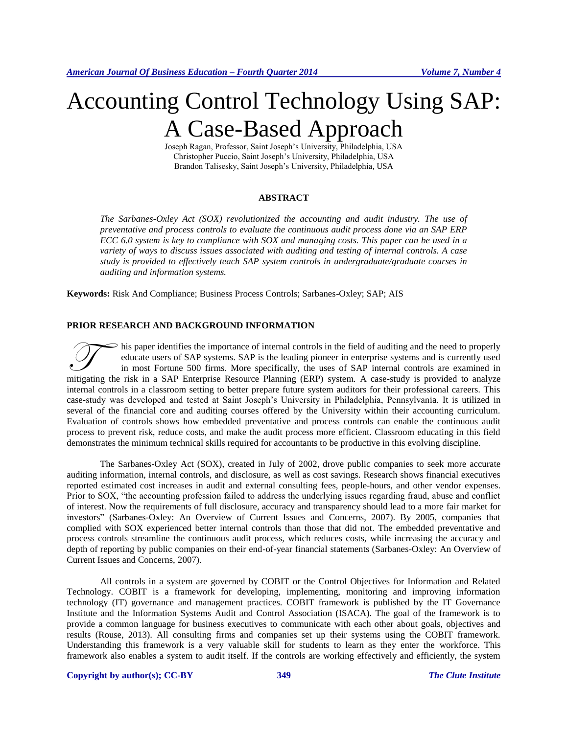# Accounting Control Technology Using SAP: A Case-Based Approach

Joseph Ragan, Professor, Saint Joseph's University, Philadelphia, USA Christopher Puccio, Saint Joseph's University, Philadelphia, USA Brandon Talisesky, Saint Joseph's University, Philadelphia, USA

#### **ABSTRACT**

*The Sarbanes-Oxley Act (SOX) revolutionized the accounting and audit industry. The use of preventative and process controls to evaluate the continuous audit process done via an SAP ERP ECC 6.0 system is key to compliance with SOX and managing costs. This paper can be used in a variety of ways to discuss issues associated with auditing and testing of internal controls. A case study is provided to effectively teach SAP system controls in undergraduate/graduate courses in auditing and information systems.*

**Keywords:** Risk And Compliance; Business Process Controls; Sarbanes-Oxley; SAP; AIS

### **PRIOR RESEARCH AND BACKGROUND INFORMATION**

his paper identifies the importance of internal controls in the field of auditing and the need to properly educate users of SAP systems. SAP is the leading pioneer in enterprise systems and is currently used in most Fortune 500 firms. More specifically, the uses of SAP internal controls are examined in This paper identifies the importance of internal controls in the field of auditing and the need to properly educate users of SAP systems. SAP is the leading pioneer in enterprise systems and is currently used in most Fortu internal controls in a classroom setting to better prepare future system auditors for their professional careers. This case-study was developed and tested at Saint Joseph's University in Philadelphia, Pennsylvania. It is utilized in several of the financial core and auditing courses offered by the University within their accounting curriculum. Evaluation of controls shows how embedded preventative and process controls can enable the continuous audit process to prevent risk, reduce costs, and make the audit process more efficient. Classroom educating in this field demonstrates the minimum technical skills required for accountants to be productive in this evolving discipline.

The Sarbanes-Oxley Act (SOX), created in July of 2002, drove public companies to seek more accurate auditing information, internal controls, and disclosure, as well as cost savings. Research shows financial executives reported estimated cost increases in audit and external consulting fees, people-hours, and other vendor expenses. Prior to SOX, "the accounting profession failed to address the underlying issues regarding fraud, abuse and conflict of interest. Now the requirements of full disclosure, accuracy and transparency should lead to a more fair market for investors" (Sarbanes-Oxley: An Overview of Current Issues and Concerns, 2007). By 2005, companies that complied with SOX experienced better internal controls than those that did not. The embedded preventative and process controls streamline the continuous audit process, which reduces costs, while increasing the accuracy and depth of reporting by public companies on their end-of-year financial statements (Sarbanes-Oxley: An Overview of Current Issues and Concerns, 2007).

All controls in a system are governed by COBIT or the Control Objectives for Information and Related Technology. COBIT is a framework for developing, implementing, monitoring and improving information technology [\(IT\)](http://searchdatacenter.techtarget.com/definition/IT) governance and management practices. COBIT framework is published by the IT Governance Institute and the Information Systems Audit and Control Association (ISACA). The goal of the framework is to provide a common language for business executives to communicate with each other about goals, objectives and results (Rouse, 2013). All consulting firms and companies set up their systems using the COBIT framework. Understanding this framework is a very valuable skill for students to learn as they enter the workforce. This framework also enables a system to audit itself. If the controls are working effectively and efficiently, the system

#### **Copyright by author(s)[; CC-BY](http://creativecommons.org/licenses/by/3.0/) 349** *[The Clute Institute](http://www.cluteinstitute.com/)*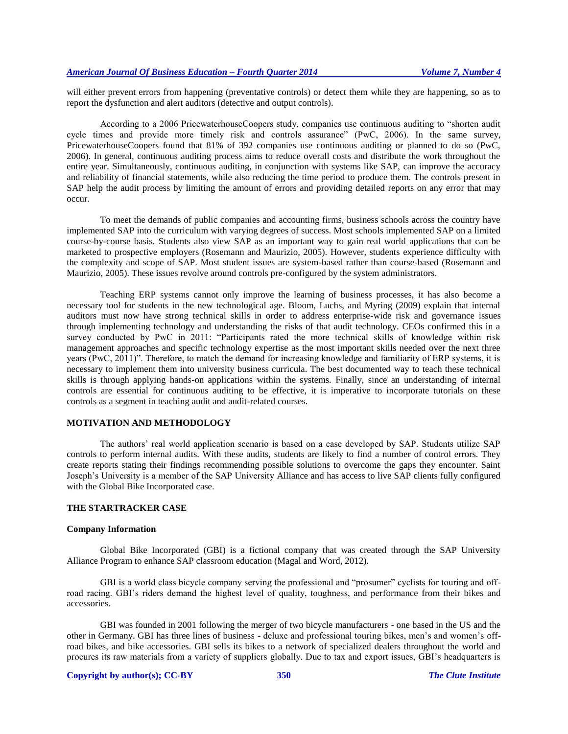will either prevent errors from happening (preventative controls) or detect them while they are happening, so as to report the dysfunction and alert auditors (detective and output controls).

According to a 2006 PricewaterhouseCoopers study, companies use continuous auditing to "shorten audit cycle times and provide more timely risk and controls assurance" (PwC, 2006). In the same survey, PricewaterhouseCoopers found that 81% of 392 companies use continuous auditing or planned to do so (PwC, 2006). In general, continuous auditing process aims to reduce overall costs and distribute the work throughout the entire year. Simultaneously, continuous auditing, in conjunction with systems like SAP, can improve the accuracy and reliability of financial statements, while also reducing the time period to produce them. The controls present in SAP help the audit process by limiting the amount of errors and providing detailed reports on any error that may occur.

To meet the demands of public companies and accounting firms, business schools across the country have implemented SAP into the curriculum with varying degrees of success. Most schools implemented SAP on a limited course-by-course basis. Students also view SAP as an important way to gain real world applications that can be marketed to prospective employers (Rosemann and Maurizio, 2005). However, students experience difficulty with the complexity and scope of SAP. Most student issues are system-based rather than course-based (Rosemann and Maurizio, 2005). These issues revolve around controls pre-configured by the system administrators.

Teaching ERP systems cannot only improve the learning of business processes, it has also become a necessary tool for students in the new technological age. Bloom, Luchs, and Myring (2009) explain that internal auditors must now have strong technical skills in order to address enterprise-wide risk and governance issues through implementing technology and understanding the risks of that audit technology. CEOs confirmed this in a survey conducted by PwC in 2011: "Participants rated the more technical skills of knowledge within risk management approaches and specific technology expertise as the most important skills needed over the next three years (PwC, 2011)". Therefore, to match the demand for increasing knowledge and familiarity of ERP systems, it is necessary to implement them into university business curricula. The best documented way to teach these technical skills is through applying hands-on applications within the systems. Finally, since an understanding of internal controls are essential for continuous auditing to be effective, it is imperative to incorporate tutorials on these controls as a segment in teaching audit and audit-related courses.

#### **MOTIVATION AND METHODOLOGY**

The authors' real world application scenario is based on a case developed by SAP. Students utilize SAP controls to perform internal audits. With these audits, students are likely to find a number of control errors. They create reports stating their findings recommending possible solutions to overcome the gaps they encounter. Saint Joseph's University is a member of the SAP University Alliance and has access to live SAP clients fully configured with the Global Bike Incorporated case.

## **THE STARTRACKER CASE**

#### **Company Information**

Global Bike Incorporated (GBI) is a fictional company that was created through the SAP University Alliance Program to enhance SAP classroom education (Magal and Word, 2012).

GBI is a world class bicycle company serving the professional and "prosumer" cyclists for touring and offroad racing. GBI's riders demand the highest level of quality, toughness, and performance from their bikes and accessories.

GBI was founded in 2001 following the merger of two bicycle manufacturers - one based in the US and the other in Germany. GBI has three lines of business - deluxe and professional touring bikes, men's and women's offroad bikes, and bike accessories. GBI sells its bikes to a network of specialized dealers throughout the world and procures its raw materials from a variety of suppliers globally. Due to tax and export issues, GBI's headquarters is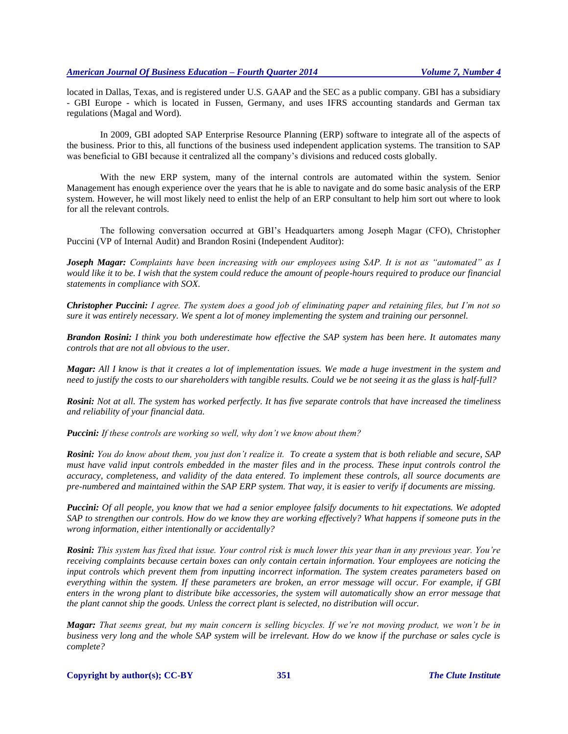located in Dallas, Texas, and is registered under U.S. GAAP and the SEC as a public company. GBI has a subsidiary - GBI Europe - which is located in Fussen, Germany, and uses IFRS accounting standards and German tax regulations (Magal and Word).

In 2009, GBI adopted SAP Enterprise Resource Planning (ERP) software to integrate all of the aspects of the business. Prior to this, all functions of the business used independent application systems. The transition to SAP was beneficial to GBI because it centralized all the company's divisions and reduced costs globally.

With the new ERP system, many of the internal controls are automated within the system. Senior Management has enough experience over the years that he is able to navigate and do some basic analysis of the ERP system. However, he will most likely need to enlist the help of an ERP consultant to help him sort out where to look for all the relevant controls.

The following conversation occurred at GBI's Headquarters among Joseph Magar (CFO), Christopher Puccini (VP of Internal Audit) and Brandon Rosini (Independent Auditor):

*Joseph Magar: Complaints have been increasing with our employees using SAP. It is not as "automated" as I would like it to be. I wish that the system could reduce the amount of people-hours required to produce our financial statements in compliance with SOX.*

*Christopher Puccini: I agree. The system does a good job of eliminating paper and retaining files, but I'm not so sure it was entirely necessary. We spent a lot of money implementing the system and training our personnel.*

*Brandon Rosini: I think you both underestimate how effective the SAP system has been here. It automates many controls that are not all obvious to the user.*

*Magar: All I know is that it creates a lot of implementation issues. We made a huge investment in the system and need to justify the costs to our shareholders with tangible results. Could we be not seeing it as the glass is half-full?*

*Rosini: Not at all. The system has worked perfectly. It has five separate controls that have increased the timeliness and reliability of your financial data.*

*Puccini: If these controls are working so well, why don't we know about them?*

*Rosini: You do know about them, you just don't realize it. To create a system that is both reliable and secure, SAP must have valid input controls embedded in the master files and in the process. These input controls control the accuracy, completeness, and validity of the data entered. To implement these controls, all source documents are pre-numbered and maintained within the SAP ERP system. That way, it is easier to verify if documents are missing.*

*Puccini: Of all people, you know that we had a senior employee falsify documents to hit expectations. We adopted SAP to strengthen our controls. How do we know they are working effectively? What happens if someone puts in the wrong information, either intentionally or accidentally?*

*Rosini: This system has fixed that issue. Your control risk is much lower this year than in any previous year. You're receiving complaints because certain boxes can only contain certain information. Your employees are noticing the input controls which prevent them from inputting incorrect information. The system creates parameters based on everything within the system. If these parameters are broken, an error message will occur. For example, if GBI enters in the wrong plant to distribute bike accessories, the system will automatically show an error message that the plant cannot ship the goods. Unless the correct plant is selected, no distribution will occur.*

*Magar: That seems great, but my main concern is selling bicycles. If we're not moving product, we won't be in business very long and the whole SAP system will be irrelevant. How do we know if the purchase or sales cycle is complete?*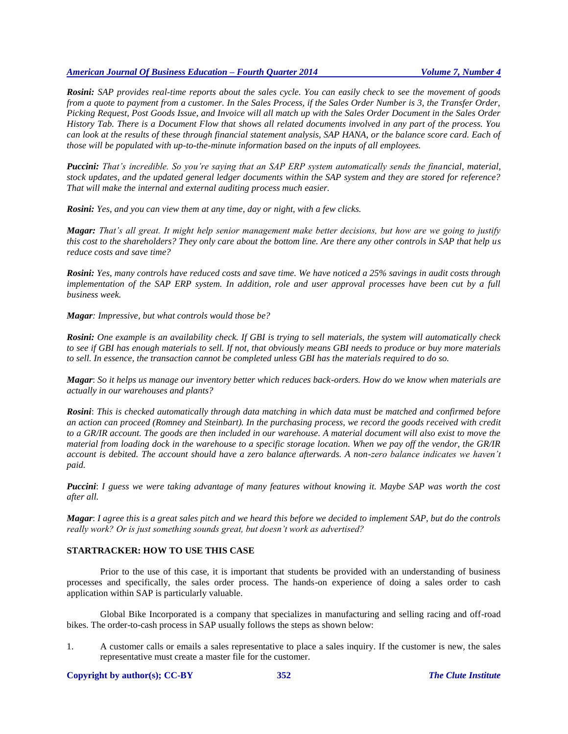*Rosini: SAP provides real-time reports about the sales cycle. You can easily check to see the movement of goods from a quote to payment from a customer. In the Sales Process, if the Sales Order Number is 3, the Transfer Order, Picking Request, Post Goods Issue, and Invoice will all match up with the Sales Order Document in the Sales Order History Tab. There is a Document Flow that shows all related documents involved in any part of the process. You can look at the results of these through financial statement analysis, SAP HANA, or the balance score card. Each of those will be populated with up-to-the-minute information based on the inputs of all employees.*

*Puccini: That's incredible. So you're saying that an SAP ERP system automatically sends the financial, material, stock updates, and the updated general ledger documents within the SAP system and they are stored for reference? That will make the internal and external auditing process much easier.*

*Rosini: Yes, and you can view them at any time, day or night, with a few clicks.*

*Magar: That's all great. It might help senior management make better decisions, but how are we going to justify this cost to the shareholders? They only care about the bottom line. Are there any other controls in SAP that help us reduce costs and save time?*

*Rosini: Yes, many controls have reduced costs and save time. We have noticed a 25% savings in audit costs through implementation of the SAP ERP system. In addition, role and user approval processes have been cut by a full business week.*

*Magar: Impressive, but what controls would those be?*

*Rosini: One example is an availability check. If GBI is trying to sell materials, the system will automatically check to see if GBI has enough materials to sell. If not, that obviously means GBI needs to produce or buy more materials to sell. In essence, the transaction cannot be completed unless GBI has the materials required to do so.*

*Magar*: *So it helps us manage our inventory better which reduces back-orders. How do we know when materials are actually in our warehouses and plants?*

*Rosini*: *This is checked automatically through data matching in which data must be matched and confirmed before an action can proceed (Romney and Steinbart). In the purchasing process, we record the goods received with credit to a GR/IR account. The goods are then included in our warehouse. A material document will also exist to move the material from loading dock in the warehouse to a specific storage location. When we pay off the vendor, the GR/IR account is debited. The account should have a zero balance afterwards. A non-zero balance indicates we haven't paid.*

*Puccini*: *I guess we were taking advantage of many features without knowing it. Maybe SAP was worth the cost after all.*

*Magar*: *I agree this is a great sales pitch and we heard this before we decided to implement SAP, but do the controls really work? Or is just something sounds great, but doesn't work as advertised?*

## **STARTRACKER: HOW TO USE THIS CASE**

Prior to the use of this case, it is important that students be provided with an understanding of business processes and specifically, the sales order process. The hands-on experience of doing a sales order to cash application within SAP is particularly valuable.

Global Bike Incorporated is a company that specializes in manufacturing and selling racing and off-road bikes. The order-to-cash process in SAP usually follows the steps as shown below:

1. A customer calls or emails a sales representative to place a sales inquiry. If the customer is new, the sales representative must create a master file for the customer.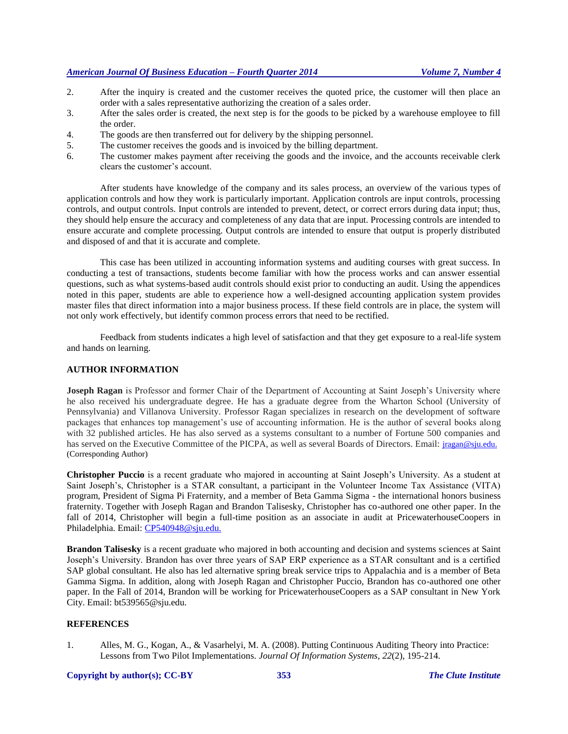- 2. After the inquiry is created and the customer receives the quoted price, the customer will then place an order with a sales representative authorizing the creation of a sales order.
- 3. After the sales order is created, the next step is for the goods to be picked by a warehouse employee to fill the order.
- 4. The goods are then transferred out for delivery by the shipping personnel.
- 5. The customer receives the goods and is invoiced by the billing department.
- 6. The customer makes payment after receiving the goods and the invoice, and the accounts receivable clerk clears the customer's account.

After students have knowledge of the company and its sales process, an overview of the various types of application controls and how they work is particularly important. Application controls are input controls, processing controls, and output controls. Input controls are intended to prevent, detect, or correct errors during data input; thus, they should help ensure the accuracy and completeness of any data that are input. Processing controls are intended to ensure accurate and complete processing. Output controls are intended to ensure that output is properly distributed and disposed of and that it is accurate and complete.

This case has been utilized in accounting information systems and auditing courses with great success. In conducting a test of transactions, students become familiar with how the process works and can answer essential questions, such as what systems-based audit controls should exist prior to conducting an audit. Using the appendices noted in this paper, students are able to experience how a well-designed accounting application system provides master files that direct information into a major business process. If these field controls are in place, the system will not only work effectively, but identify common process errors that need to be rectified.

Feedback from students indicates a high level of satisfaction and that they get exposure to a real-life system and hands on learning.

## **AUTHOR INFORMATION**

**Joseph Ragan** is Professor and former Chair of the Department of Accounting at Saint Joseph's University where he also received his undergraduate degree. He has a graduate degree from the Wharton School (University of Pennsylvania) and Villanova University. Professor Ragan specializes in research on the development of software packages that enhances top management's use of accounting information. He is the author of several books along with 32 published articles. He has also served as a systems consultant to a number of Fortune 500 companies and has served on the Executive Committee of the PICPA, as well as several Boards of Directors. Email: *[jragan@sju.edu.](mailto:jragan@sju.edu)* (Corresponding Author)

**Christopher Puccio** is a recent graduate who majored in accounting at Saint Joseph's University. As a student at Saint Joseph's, Christopher is a STAR consultant, a participant in the Volunteer Income Tax Assistance (VITA) program, President of Sigma Pi Fraternity, and a member of Beta Gamma Sigma - the international honors business fraternity. Together with Joseph Ragan and Brandon Talisesky, Christopher has co-authored one other paper. In the fall of 2014, Christopher will begin a full-time position as an associate in audit at PricewaterhouseCoopers in Philadelphia. Email: [CP540948@sju.edu.](mailto:bt539565@sju.edu)

**Brandon Talisesky** is a recent graduate who majored in both accounting and decision and systems sciences at Saint Joseph's University. Brandon has over three years of SAP ERP experience as a STAR consultant and is a certified SAP global consultant. He also has led alternative spring break service trips to Appalachia and is a member of Beta Gamma Sigma. In addition, along with Joseph Ragan and Christopher Puccio, Brandon has co-authored one other paper. In the Fall of 2014, Brandon will be working for PricewaterhouseCoopers as a SAP consultant in New York City. Email: bt539565@sju.edu.

## **REFERENCES**

1. Alles, M. G., Kogan, A., & Vasarhelyi, M. A. (2008). Putting Continuous Auditing Theory into Practice: Lessons from Two Pilot Implementations. *Journal Of Information Systems*, *22*(2), 195-214.

#### **Copyright by author(s)[; CC-BY](http://creativecommons.org/licenses/by/3.0/) 353** *[The Clute Institute](http://www.cluteinstitute.com/)*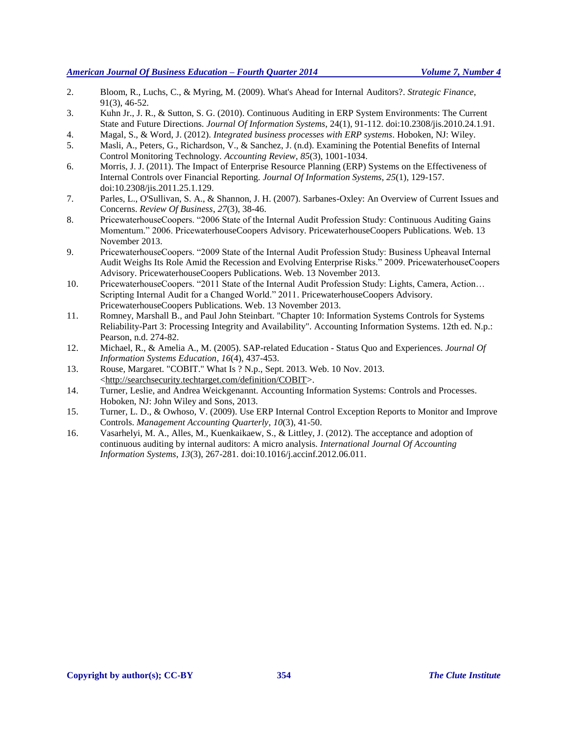- 2. Bloom, R., Luchs, C., & Myring, M. (2009). What's Ahead for Internal Auditors?. *Strategic Finance*, 91(3), 46-52.
- 3. Kuhn Jr., J. R., & Sutton, S. G. (2010). Continuous Auditing in ERP System Environments: The Current State and Future Directions. *Journal Of Information Systems*, 24(1), 91-112. doi:10.2308/jis.2010.24.1.91.
- 4. Magal, S., & Word, J. (2012). *Integrated business processes with ERP systems*. Hoboken, NJ: Wiley.
- 5. Masli, A., Peters, G., Richardson, V., & Sanchez, J. (n.d). Examining the Potential Benefits of Internal Control Monitoring Technology. *Accounting Review*, *85*(3), 1001-1034.
- 6. Morris, J. J. (2011). The Impact of Enterprise Resource Planning (ERP) Systems on the Effectiveness of Internal Controls over Financial Reporting. *Journal Of Information Systems*, *25*(1), 129-157. doi:10.2308/jis.2011.25.1.129.
- 7. Parles, L., O'Sullivan, S. A., & Shannon, J. H. (2007). Sarbanes-Oxley: An Overview of Current Issues and Concerns. *Review Of Business*, *27*(3), 38-46.
- 8. PricewaterhouseCoopers. "2006 State of the Internal Audit Profession Study: Continuous Auditing Gains Momentum." 2006. PricewaterhouseCoopers Advisory. PricewaterhouseCoopers Publications. Web. 13 November 2013.
- 9. PricewaterhouseCoopers. "2009 State of the Internal Audit Profession Study: Business Upheaval Internal Audit Weighs Its Role Amid the Recession and Evolving Enterprise Risks." 2009. PricewaterhouseCoopers Advisory. PricewaterhouseCoopers Publications. Web. 13 November 2013.
- 10. PricewaterhouseCoopers. "2011 State of the Internal Audit Profession Study: Lights, Camera, Action… Scripting Internal Audit for a Changed World." 2011. PricewaterhouseCoopers Advisory. PricewaterhouseCoopers Publications. Web. 13 November 2013.
- 11. Romney, Marshall B., and Paul John Steinbart. "Chapter 10: Information Systems Controls for Systems Reliability-Part 3: Processing Integrity and Availability". Accounting Information Systems. 12th ed. N.p.: Pearson, n.d. 274-82.
- 12. Michael, R., & Amelia A., M. (2005). SAP-related Education Status Quo and Experiences. *Journal Of Information Systems Education*, *16*(4), 437-453.
- 13. Rouse, Margaret. "COBIT." What Is ? N.p., Sept. 2013. Web. 10 Nov. 2013. [<http://searchsecurity.techtarget.com/definition/COBIT>](http://searchsecurity.techtarget.com/definition/COBIT).
- 14. Turner, Leslie, and Andrea Weickgenannt. Accounting Information Systems: Controls and Processes. Hoboken, NJ: John Wiley and Sons, 2013.
- 15. Turner, L. D., & Owhoso, V. (2009). Use ERP Internal Control Exception Reports to Monitor and Improve Controls. *Management Accounting Quarterly*, *10*(3), 41-50.
- 16. Vasarhelyi, M. A., Alles, M., Kuenkaikaew, S., & Littley, J. (2012). The acceptance and adoption of continuous auditing by internal auditors: A micro analysis. *International Journal Of Accounting Information Systems*, *13*(3), 267-281. doi:10.1016/j.accinf.2012.06.011.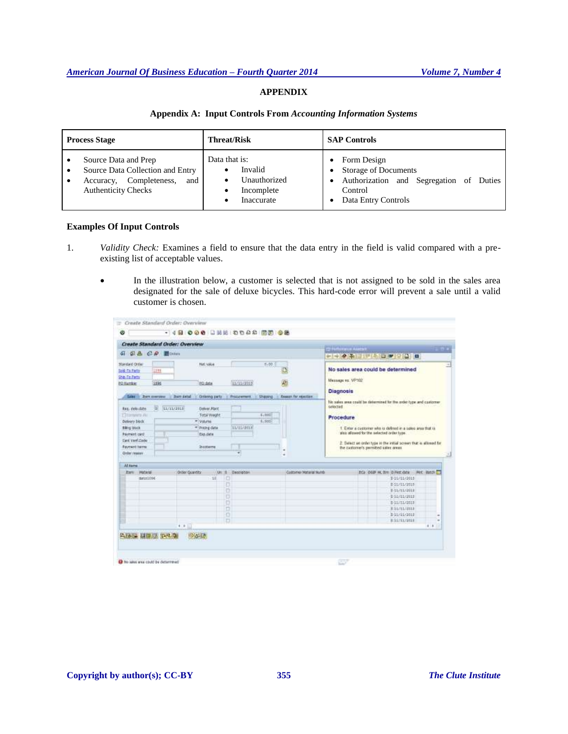## **APPENDIX**

#### **Appendix A: Input Controls From** *Accounting Information Systems*

| <b>Process Stage</b>                                                                                                     | <b>Threat/Risk</b>                                                        | <b>SAP Controls</b>                                                                                                     |  |  |
|--------------------------------------------------------------------------------------------------------------------------|---------------------------------------------------------------------------|-------------------------------------------------------------------------------------------------------------------------|--|--|
| Source Data and Prep<br>Source Data Collection and Entry<br>Accuracy, Completeness,<br>and<br><b>Authenticity Checks</b> | Data that is:<br>Invalid<br>Unauthorized<br>٠<br>Incomplete<br>Inaccurate | Form Design<br><b>Storage of Documents</b><br>Authorization and Segregation of Duties<br>Control<br>Data Entry Controls |  |  |

## **Examples Of Input Controls**

- 1. *Validity Check:* Examines a field to ensure that the data entry in the field is valid compared with a preexisting list of acceptable values.
	- In the illustration below, a customer is selected that is not assigned to be sold in the sales area designated for the sale of deluxe bicycles. This hard-code error will prevent a sale until a valid customer is chosen.

| $Q.8.0.9$ moon<br>Bart continue : Bart detail<br><b>LUXU2REE</b>                                                                                                                   | <b>Nati Value</b><br>FO date<br><b>Onlineg parts</b><br>Deliver, Plant | 11/11/1019<br><b>Procurant</b><br>. . | 3.55<br><b>Sharang</b> | Đ<br>藗<br>Reason for searcon. | mission - Averat<br><b>SI 1979</b><br>-------------<br>No sales area could be determined<br>Message or VP102                                                                                                                        |  |  |
|------------------------------------------------------------------------------------------------------------------------------------------------------------------------------------|------------------------------------------------------------------------|---------------------------------------|------------------------|-------------------------------|-------------------------------------------------------------------------------------------------------------------------------------------------------------------------------------------------------------------------------------|--|--|
|                                                                                                                                                                                    |                                                                        |                                       |                        |                               |                                                                                                                                                                                                                                     |  |  |
|                                                                                                                                                                                    |                                                                        |                                       |                        |                               |                                                                                                                                                                                                                                     |  |  |
|                                                                                                                                                                                    |                                                                        |                                       |                        |                               |                                                                                                                                                                                                                                     |  |  |
|                                                                                                                                                                                    |                                                                        |                                       |                        |                               | <b>Diagnosis</b>                                                                                                                                                                                                                    |  |  |
| 冨<br>Reg. delustate<br><b>Tittal Visuone</b><br><b>CTOOWING AVE</b><br>* Vikini<br>* Pricing data<br><b>Executive</b><br>Earn yard Code<br><b>Excessit herm</b><br><b>Inconere</b> |                                                                        | 1,330<br>1.506<br>11/15/2018<br>٠     |                        |                               | Procedure<br>1. Enter a customer who is defined in a sales area that is<br>also allowed for the selected order type.<br>2: Select an order type in the virtial screen that is allowed for.<br>the customer's permitted sales areas. |  |  |
|                                                                                                                                                                                    |                                                                        |                                       |                        |                               |                                                                                                                                                                                                                                     |  |  |
| $4.8 + 1.1$                                                                                                                                                                        | $-100$                                                                 | Ð<br>ŧΰ<br>Ð<br>b<br>O                |                        |                               | tica deal is fire dillustate like Batch<br>B-10/11/2015<br><b>B SLVILUZ018</b><br>E-11/11/2013<br>B SAVILVINGS<br>D-11/11/2019<br><b>Bit/LL/2012</b><br>D-11/11/2013<br><b>BELTILIZINE</b><br>$\blacksquare$<br>٠                   |  |  |
|                                                                                                                                                                                    |                                                                        | Onter Quantity                        | Un: 8 Description<br>Ĥ |                               | Coltomer Haterial Numb                                                                                                                                                                                                              |  |  |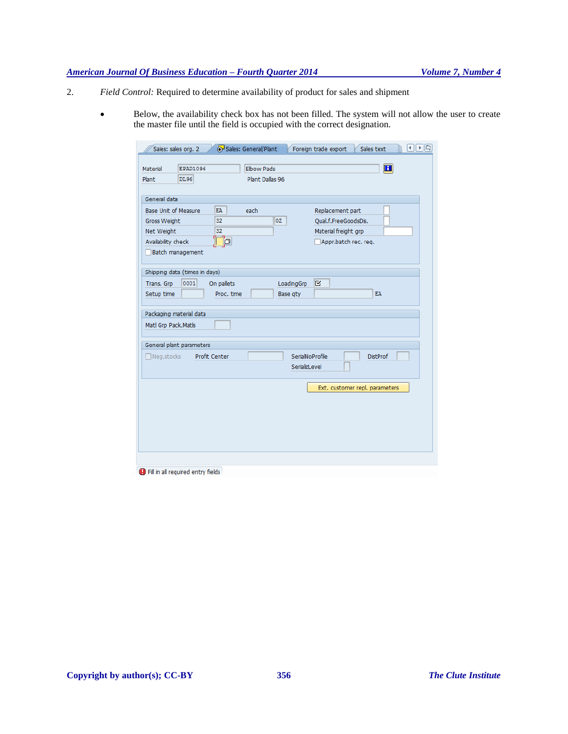- 2. *Field Control:* Required to determine availability of product for sales and shipment
	- Below, the availability check box has not been filled. The system will not allow the user to create the master file until the field is occupied with the correct designation.

| Sales: sales org. 2<br>EPAD1096<br>Material<br>DI.96<br>Plant        | Sales: General/Plant<br><b>Elbow Pads</b><br>Plant Dallas 96 | $  \bullet  \Box $<br>◂<br>Foreign trade export<br>Sales text<br>$\mathbf{H}$ |
|----------------------------------------------------------------------|--------------------------------------------------------------|-------------------------------------------------------------------------------|
| General data<br><b>Base Unit of Measure</b>                          | EA<br>each.                                                  | Replacement part                                                              |
| Gross Weight<br>Net Weight<br>Availability check<br>Batch management | <b>OZ</b><br>32<br>32<br><b>۱</b>                            | Qual.f.FreeGoodsDis.<br>Material freight grp<br>Appr.batch rec. req.          |
| Shipping data (times in days)<br>0001<br>Trans. Grp<br>Setup time    | On pallets<br>Proc. time                                     | K<br>LoadingGrp<br>EA.<br>Base qty                                            |
| Packaging material data<br>Matl Grp Pack.Matls                       |                                                              |                                                                               |
| General plant parameters<br>$\Box$ Neg.stocks                        | <b>Profit Center</b>                                         | SerialNoProfile<br><b>DistProf</b><br>SerializLevel                           |
|                                                                      |                                                              | Ext. customer repl. parameters                                                |
|                                                                      |                                                              |                                                                               |
| <b>D</b> Fill in all required entry fields                           |                                                              |                                                                               |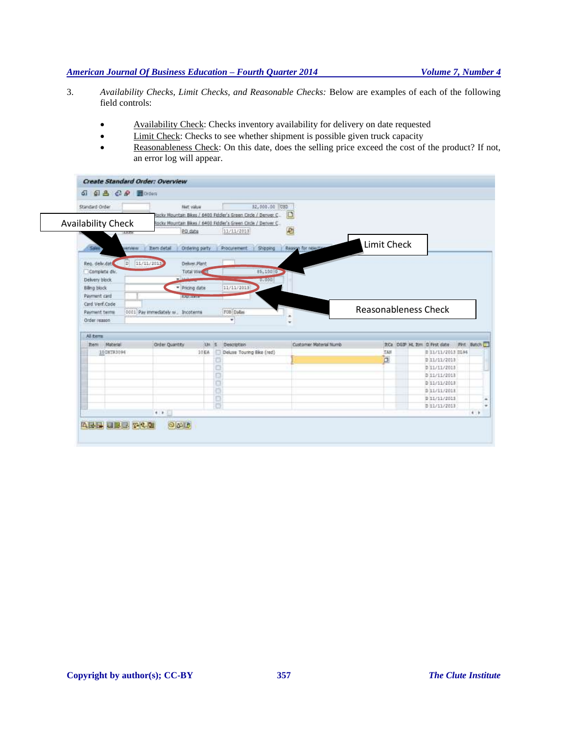- 3. *Availability Checks, Limit Checks, and Reasonable Checks:* Below are examples of each of the following field controls:
	- Availability Check: Checks inventory availability for delivery on date requested
	- Limit Check: Checks to see whether shipment is possible given truck capacity
	- Reasonableness Check: On this date, does the selling price exceed the cost of the product? If not, an error log will appear.

| <b>Standard Order</b>     |            |                |                                   | <b>Net value</b> |      |                  | \$2,000.00 USD<br>Rocky Mountain Bikes / 6400 Fiddler's Green Circle / Denver C. | o |                           |                             |                               |            |  |
|---------------------------|------------|----------------|-----------------------------------|------------------|------|------------------|----------------------------------------------------------------------------------|---|---------------------------|-----------------------------|-------------------------------|------------|--|
| <b>Availability Check</b> |            |                |                                   | PO date          |      | 11/11/2013       | locky Mountain Bikes / 6400 Fiddler's Green Circle / Denver C.                   | e |                           |                             |                               |            |  |
| 50H                       |            | <b>VATINHW</b> | Item detail                       | Ordering party   |      | Procurement      | Shipping                                                                         |   | <b>Reason for reserve</b> | Limit Check                 |                               |            |  |
| Reg. debudat              |            | 田              | 11/11/2019                        | Deliver Plant    |      |                  |                                                                                  |   |                           |                             |                               |            |  |
| Complete div.             |            |                |                                   | Total Wei of     |      |                  | 85,100 0                                                                         |   |                           |                             |                               |            |  |
| Delivery block.           |            |                |                                   |                  |      |                  | 0.000                                                                            |   |                           |                             |                               |            |  |
| <b>Bling block</b>        |            |                |                                   | - Pricing date   |      | 11/11/2013       |                                                                                  |   |                           |                             |                               |            |  |
|                           |            |                |                                   | <b>EQUATION</b>  |      |                  |                                                                                  |   |                           |                             |                               |            |  |
| Payment card              |            |                |                                   |                  |      |                  |                                                                                  |   |                           |                             |                               |            |  |
| Card Verf.Code            |            |                |                                   |                  |      |                  |                                                                                  |   |                           |                             |                               |            |  |
| <b>Payment terms</b>      |            |                | 0001 Pay immediately w. Incotenna |                  |      | FOB Dallas       |                                                                                  |   |                           | <b>Reasonableness Check</b> |                               |            |  |
| Order reason              |            |                |                                   |                  |      | ٠                |                                                                                  |   |                           |                             |                               |            |  |
| All terrs                 |            |                |                                   |                  |      |                  |                                                                                  |   |                           |                             |                               |            |  |
| Item                      | Material   |                | Order Quantity                    |                  |      | Un 5 Description |                                                                                  |   | Customer Material Numb    |                             | ItCa DGIP HL ftm D First date | Pint Batch |  |
|                           | 1008193094 |                |                                   |                  | 10EA |                  | Deluxe Touring Blke (red)                                                        |   |                           | tas                         | D 11/11/2013 DL96             |            |  |
|                           |            |                |                                   |                  |      |                  |                                                                                  |   |                           | b                           | 0 33/11/2013                  |            |  |
|                           |            |                |                                   |                  |      | ă                |                                                                                  |   |                           |                             | 0 11/11/2018                  |            |  |
|                           |            |                |                                   |                  |      | o                |                                                                                  |   |                           |                             | D 11/11/2013                  |            |  |
|                           |            |                |                                   |                  |      |                  |                                                                                  |   |                           |                             | D 11/11/2013                  |            |  |
|                           |            |                |                                   |                  |      | O                |                                                                                  |   |                           |                             | 031/11/2013                   |            |  |
|                           |            |                |                                   |                  |      | o                |                                                                                  |   |                           |                             | 0 11/11/2011                  |            |  |
|                           |            |                | $\bullet\quad\bullet\quad\quad$   |                  |      | B                |                                                                                  |   |                           |                             | D 11/11/2013                  |            |  |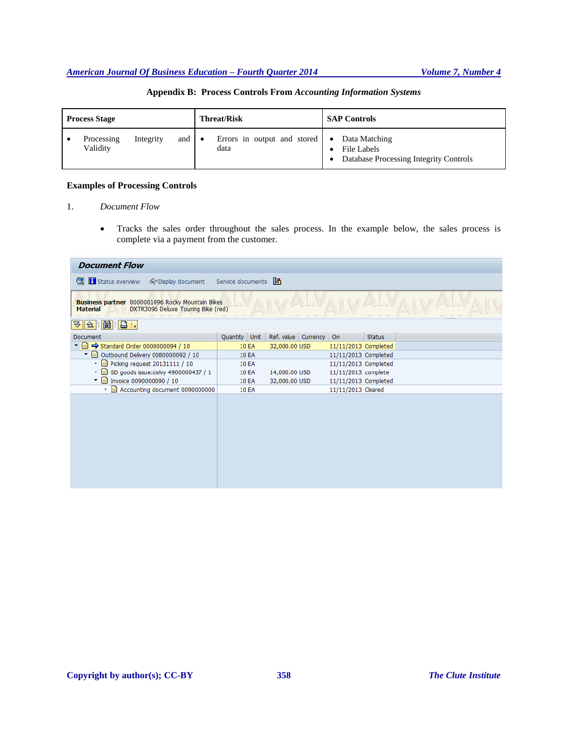| <b>Process Stage</b> |                        |           |     | <b>Threat/Risk</b>                                         | <b>SAP Controls</b>                                                    |  |
|----------------------|------------------------|-----------|-----|------------------------------------------------------------|------------------------------------------------------------------------|--|
|                      | Processing<br>Validity | Integrity | and | Errors in output and stored $\bullet$<br>$\bullet$<br>data | Data Matching<br>File Labels<br>Database Processing Integrity Controls |  |

## **Appendix B: Process Controls From** *Accounting Information Systems*

## **Examples of Processing Controls**

#### 1. *Document Flow*

 Tracks the sales order throughout the sales process. In the example below, the sales process is complete via a payment from the customer.

| <b>Document Flow</b>                                                                                      |              |                                      |                      |               |  |  |
|-----------------------------------------------------------------------------------------------------------|--------------|--------------------------------------|----------------------|---------------|--|--|
| S <sub>G</sub> Display document Service documents 图<br>o but <b>it</b> Status overview                    |              |                                      |                      |               |  |  |
| Business partner 0000001096 Rocky Mountain Bikes<br>DXTR3096 Deluxe Touring Bike (red)<br><b>Material</b> |              |                                      |                      |               |  |  |
| 岡<br>18 L<br>$\vert 2 \vert$<br>∀                                                                         |              |                                      |                      |               |  |  |
| Document                                                                                                  |              | Quantity Unit Ref. value Currency On |                      | <b>Status</b> |  |  |
| ▼ $\blacksquare$ $\Rightarrow$ Standard Order 0000000094 / 10                                             | 10 EA        | 32,000.00 USD                        | 11/11/2013 Completed |               |  |  |
| $\blacktriangledown$ $\blacksquare$ Outbound Delivery 0080000092 / 10                                     | 10 EA        |                                      | 11/11/2013 Completed |               |  |  |
| $\cdot \equiv$ Picking request 20131111 / 10                                                              | <b>10 EA</b> |                                      | 11/11/2013 Completed |               |  |  |
| • cD goods issue: delvy 4900000437 / 1                                                                    | 10 EA        | 14,000.00 USD                        | 11/11/2013 complete  |               |  |  |
| $\sqrt{\frac{1}{2}}$ Invoice 0090000090 / 10                                                              | <b>10 EA</b> | 32,000.00 USD                        | 11/11/2013 Completed |               |  |  |
| • a Accounting document 0090000000                                                                        | <b>10 EA</b> |                                      | 11/11/2013 Cleared   |               |  |  |
|                                                                                                           |              |                                      |                      |               |  |  |
|                                                                                                           |              |                                      |                      |               |  |  |
|                                                                                                           |              |                                      |                      |               |  |  |
|                                                                                                           |              |                                      |                      |               |  |  |
|                                                                                                           |              |                                      |                      |               |  |  |
|                                                                                                           |              |                                      |                      |               |  |  |
|                                                                                                           |              |                                      |                      |               |  |  |
|                                                                                                           |              |                                      |                      |               |  |  |
|                                                                                                           |              |                                      |                      |               |  |  |
|                                                                                                           |              |                                      |                      |               |  |  |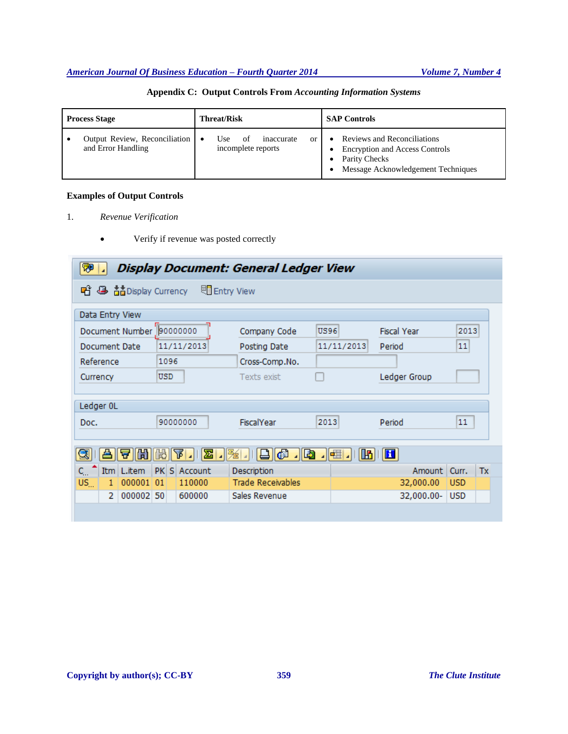| <b>Process Stage</b>                                | <b>Threat/Risk</b>                                  | <b>SAP Controls</b>                                                                                                         |  |
|-----------------------------------------------------|-----------------------------------------------------|-----------------------------------------------------------------------------------------------------------------------------|--|
| Output Review, Reconciliation<br>and Error Handling | Use<br>inaccurate<br>of<br>or<br>incomplete reports | Reviews and Reconciliations<br><b>Encryption and Access Controls</b><br>Parity Checks<br>Message Acknowledgement Techniques |  |

# **Appendix C: Output Controls From** *Accounting Information Systems*

## **Examples of Output Controls**

- 1. *Revenue Verification*
	- Verify if revenue was posted correctly

| ₩<br>Display Document: General Ledger View               |                |                          |             |                    |             |  |  |  |
|----------------------------------------------------------|----------------|--------------------------|-------------|--------------------|-------------|--|--|--|
| 喑<br><b>昼 音的</b> Display Currency<br><b>同</b> Entry View |                |                          |             |                    |             |  |  |  |
| Data Entry View                                          |                |                          |             |                    |             |  |  |  |
| Document Number                                          | 90000000       | Company Code             | <b>US96</b> | <b>Fiscal Year</b> | 2013        |  |  |  |
| Document Date                                            | 11/11/2013     | Posting Date             | 11/11/2013  | Period             | 11          |  |  |  |
| Reference                                                | 1096           | Cross-Comp.No.           |             |                    |             |  |  |  |
| Currency                                                 | <b>USD</b>     | Texts exist              |             | Ledger Group       |             |  |  |  |
|                                                          |                |                          |             |                    |             |  |  |  |
| Ledger 0L                                                |                |                          |             |                    |             |  |  |  |
| Doc.                                                     | 90000000       | FiscalYear               | 2013        | Period             | 11          |  |  |  |
|                                                          |                |                          |             |                    |             |  |  |  |
| 尙<br>q                                                   | ⊠<br>ΤP<br>問   | la)<br>.10               | IE⊞<br>Ш    | $\mathbf{H}$       |             |  |  |  |
| Itm<br>L.item<br>$\mathsf{C}$                            | PKS<br>Account | Description              |             | Amount             | Tx<br>Curr. |  |  |  |
| $US_{\ldots}$<br>000001<br>1.                            | 110000<br>01   | <b>Trade Receivables</b> |             | 32,000.00          | <b>USD</b>  |  |  |  |
| 000002 50<br>2                                           | 600000         | Sales Revenue            |             | 32,000.00-         | <b>USD</b>  |  |  |  |
|                                                          |                |                          |             |                    |             |  |  |  |